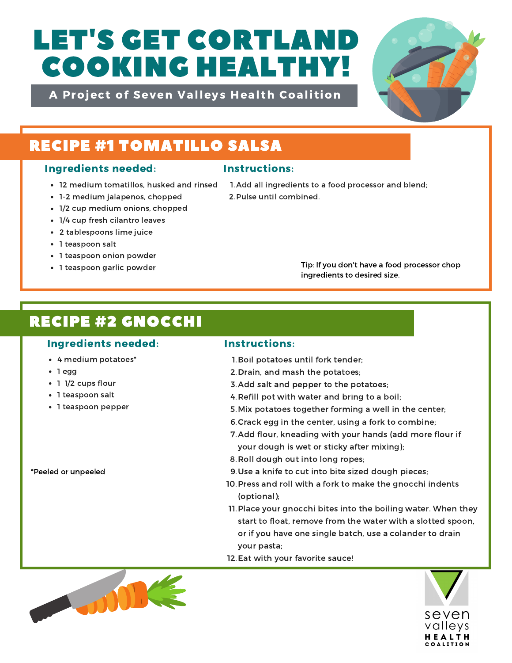# LET'S GET CORTLAND COOKING HEALTHY!

A Project of Seven Valleys Health Coalition



## RECIPE #1 TOMATILLO SALSA

## Ingredients needed: Instructions:

- 12 medium tomatillos, husked and rinsed
- 1-2 medium jalapenos, chopped
- 1/2 cup medium onions, chopped
- 1/4 cup fresh cilantro leaves
- 2 tablespoons lime juice
- 1 teaspoon salt
- 1 teaspoon onion powder
- 1 teaspoon garlic powder

1. Add all ingredients to a food processor and blend; 2. Pulse until combined.

> Tip: If you don't have a food processor chop ingredients to desired size.

# RECIPE #2 GNOCCHI

## Ingredients needed: Instructions:

- 4 medium potatoes\*
- 1 egg
- 1 1/2 cups flour
- 1 teaspoon salt
- 1 teaspoon pepper

\*Peeled or unpeeled

- 1. Boil potatoes until fork tender;
- 2. Drain, and mash the potatoes;
- 3. Add salt and pepper to the potatoes;
- 4. Refill pot with water and bring to a boil;
- 5. Mix potatoes together forming a well in the center;
- 6. Crack egg in the center, using a fork to combine;
- 7. Add flour, kneading with your hands (add more flour if your dough is wet or sticky after mixing);
- 8. Roll dough out into long ropes;
- 9. Use a knife to cut into bite sized dough pieces;
- 10. Press and roll with a fork to make the gnocchi indents (optional);
- 11. Place your gnocchi bites into the boiling water. When they start to float, remove from the water with a slotted spoon, or if you have one single batch, use a colander to drain your pasta;
- 12. Eat with your favorite sauce!